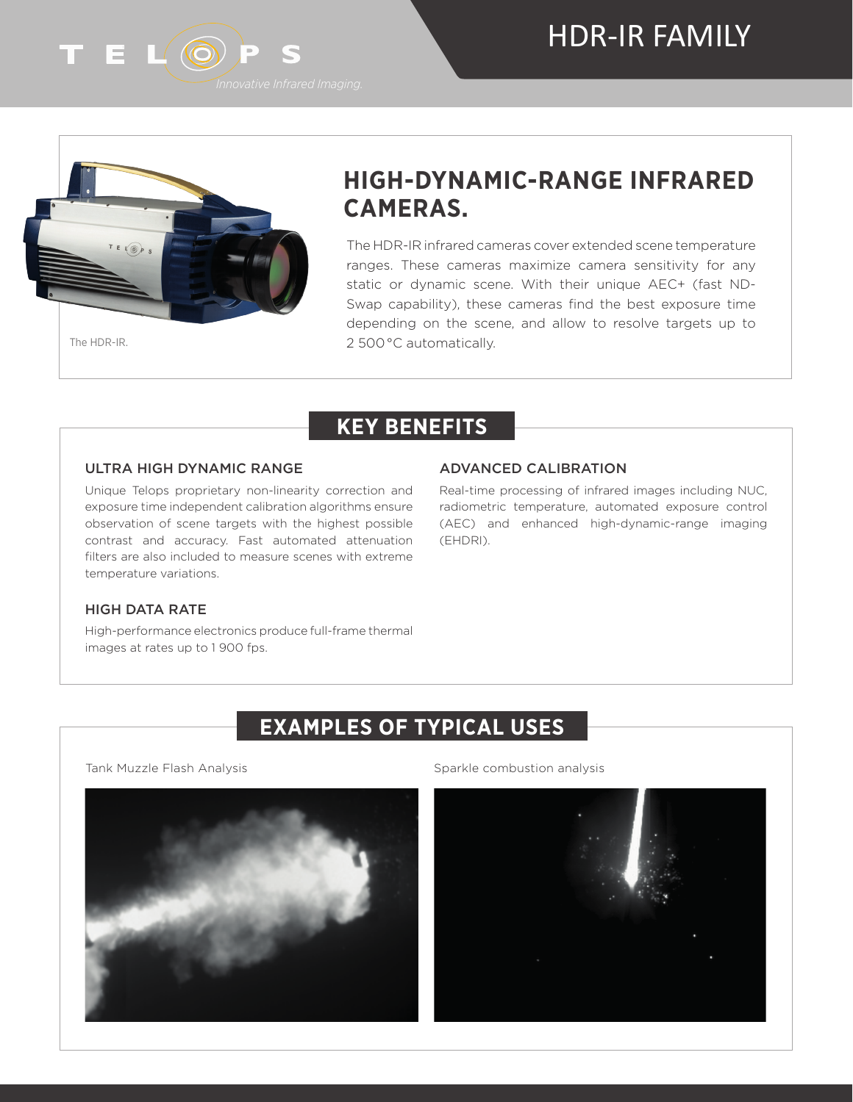# HDR-IR FAMILY



# **HIGH-DYNAMIC-RANGE INFRARED CAMERAS.**

The HDR-IR infrared cameras cover extended scene temperature ranges. These cameras maximize camera sensitivity for any static or dynamic scene. With their unique AEC+ (fast ND-Swap capability), these cameras find the best exposure time depending on the scene, and allow to resolve targets up to 2 500 °C automatically.

## **KEY BENEFITS**

#### ULTRA HIGH DYNAMIC RANGE

#### Unique Telops proprietary non-linearity correction and exposure time independent calibration algorithms ensure observation of scene targets with the highest possible contrast and accuracy. Fast automated attenuation filters are also included to measure scenes with extreme temperature variations.

#### ADVANCED CALIBRATION

Real-time processing of infrared images including NUC, radiometric temperature, automated exposure control (AEC) and enhanced high-dynamic-range imaging (EHDRI).

#### HIGH DATA RATE

High-performance electronics produce full-frame thermal images at rates up to 1 900 fps.

### **EXAMPLES OF TYPICAL USES**



Tank Muzzle Flash Analysis **Sparkle combustion analysis** Sparkle combustion analysis



T E L'OPS